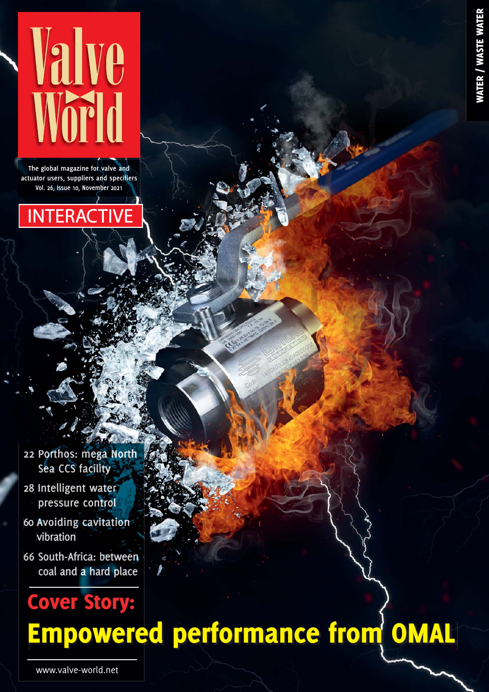

**The global magazine for valve and actuator users, suppliers and specifiers Vol. 26, Issue 10, November 2021**



- **22 [Porthos:](#page--1-0) mega North Sea CCS facility**
- **28 [Intelligent water](#page--1-0) pressure control**
- **60 Avoiding [cavitation](#page--1-0) vibration**
- **66 [South-Africa:](#page--1-0) between coal and a hard place**

# Cover Story:

## [Empowered performance from OMAL](#page-1-0)

WATER / WASTE WATER **ATER / WASTE W**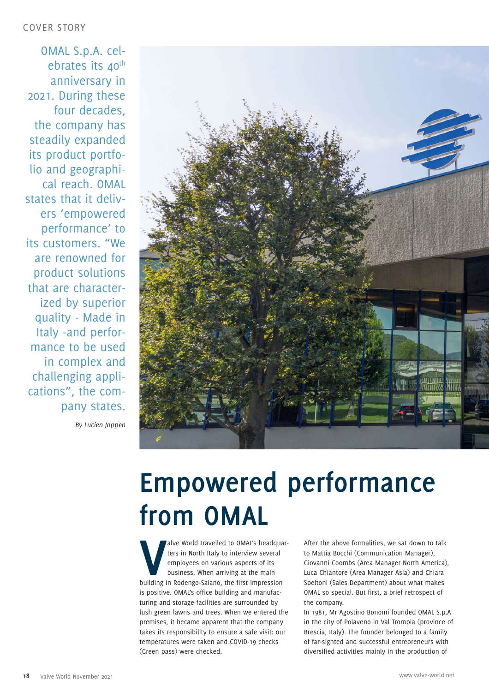<span id="page-1-0"></span>OMAL S.p.A. celebrates its 40<sup>th</sup> anniversary in 2021. During these four decades, the company has steadily expanded its product portfolio and geographical reach. OMAL states that it delivers 'empowered performance' to its customers. "We are renowned for product solutions that are characterized by superior quality - Made in Italy -and performance to be used in complex and challenging applications", the company states.

*By Lucien Joppen*



### **[Empowered performance](https://www.omal.com/)  from OMAL**

New World travelled to OMAL's headqua ters in North Italy to interview several employees on various aspects of its business. When arriving at the main building in Rodengo-Saiano, the first impression alve World travelled to OMAL's headquarters in North Italy to interview several employees on various aspects of its business. When arriving at the main is positive. OMAL's office building and manufacturing and storage facilities are surrounded by lush green lawns and trees. When we entered the premises, it became apparent that the company takes its responsibility to ensure a safe visit: our temperatures were taken and COVID-19 checks (Green pass) were checked.

After the above formalities, we sat down to talk to Mattia Bocchi (Communication Manager), Giovanni Coombs (Area Manager North America), Luca Chiantore (Area Manager Asia) and Chiara Speltoni (Sales Department) about what makes OMAL so special. But first, a brief retrospect of the company.

In 1981, Mr Agostino Bonomi founded OMAL S.p.A in the city of Polaveno in Val Trompia (province of Brescia, Italy). The founder belonged to a family of far-sighted and successful entrepreneurs with diversified activities mainly in the production of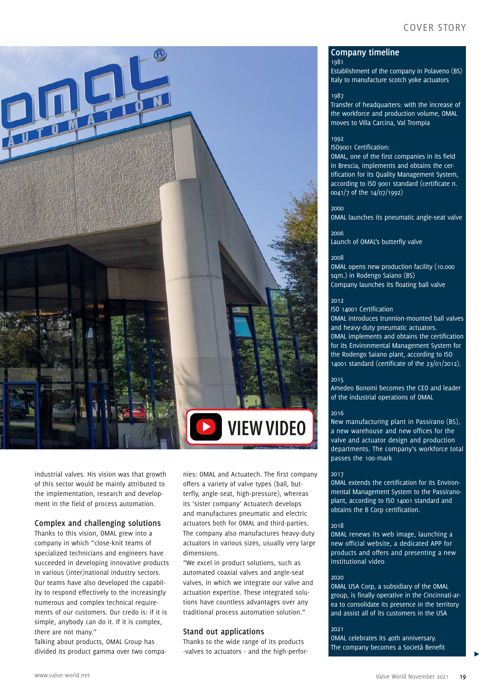

industrial valves. His vision was that growth of this sector would be mainly attributed to the implementation, research and development in the field of process automation.

#### **Complex and challenging solutions**

Thanks to this vision, OMAL grew into a company in which "close-knit teams of specialized technicians and engineers have succeeded in developing innovative products in various (inter)national industry sectors. Our teams have also developed the capability to respond effectively to the increasingly numerous and complex technical requirements of our customers. Our credo is: if it is simple, anybody can do it. If it is complex, there are not many."

Talking about products, OMAL Group has divided its product gamma over two companies: OMAL and Actuatech. The first company offers a variety of valve types (ball, butterfly, angle-seat, high-pressure), whereas its 'sister company' Actuatech develops and manufactures pneumatic and electric actuators both for OMAL and third-parties. The company also manufactures heavy-duty actuators in various sizes, usually very large dimensions.

"We excel in product solutions, such as automated coaxial valves and angle-seat valves, in which we integrate our valve and actuation expertise. These integrated solutions have countless advantages over any traditional process automation solution."

#### **Stand out applications**

Thanks to the wide range of its products -valves to actuators - and the high-perfor-

#### **Company timeline**

Establishment of the company in Polaveno (BS) Italy to manufacture scotch yoke actuators

#### 1987

1981

Transfer of headquarters: with the increase of the workforce and production volume, OMAL moves to Villa Carcina, Val Trompia

#### 1992

ISO9001 Certification:

OMAL, one of the first companies in its field in Brescia, implements and obtains the certification for its Quality Management System, according to ISO 9001 standard (certificate n. 0041/7 of the 14/07/1992)

2000

OMAL launches its pneumatic angle-seat valve

#### 2006

Launch of OMAL's butterfly valve

#### 2008

OMAL opens new production facility (10.000 sqm.) in Rodengo Saiano (BS) Company launches its floating ball valve

#### 2012

ISO 14001 Certification

OMAL introduces trunnion-mounted ball valves and heavy-duty pneumatic actuators. OMAL implements and obtains the certification for its Environmental Management System for the Rodengo Saiano plant, according to ISO 14001 standard (certificate of the 23/01/2012).

#### 2015

Amedeo Bonomi becomes the CEO and leader of the industrial operations of OMAL

#### 2016

New manufacturing plant in Passirano (BS), a new warehouse and new offices for the valve and actuator design and production departments. The company's workforce total passes the 100-mark

#### 2017

OMAL extends the certification for its Environmental Management System to the Passiranoplant, according to ISO 14001 standard and obtains the B Corp certification.

#### 2018

OMAL renews its web image, launching a new official website, a dedicated APP for products and offers and presenting a new institutional video

#### 2020

OMAL USA Corp, a subsidiary of the OMAL group, is finally operative in the Cincinnati-area to consolidate its presence in the territory and assist all of its customers in the USA

#### 2021

OMAL celebrates its 40th anniversary. The company becomes a Società Benefit

 $\blacktriangleright$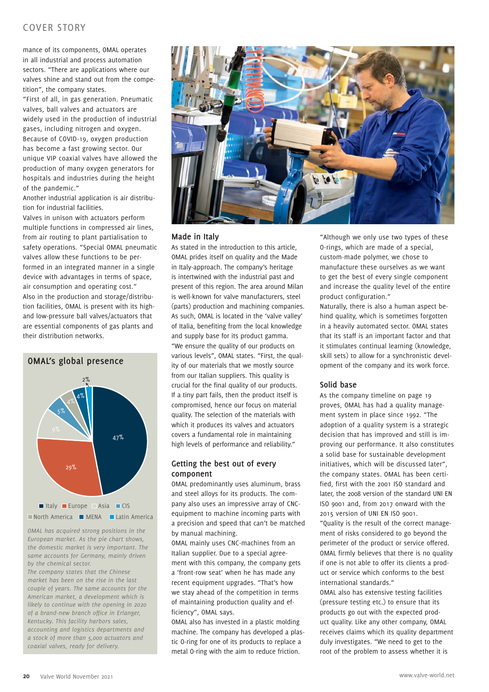#### COVER STORY

mance of its components, OMAL operates in all industrial and process automation sectors. "There are applications where our valves shine and stand out from the competition", the company states.

"First of all, in gas generation. Pneumatic valves, ball valves and actuators are widely used in the production of industrial gases, including nitrogen and oxygen. Because of COVID-19, oxygen production has become a fast growing sector. Our unique VIP coaxial valves have allowed the production of many oxygen generators for hospitals and industries during the height of the pandemic."

Another industrial application is air distribution for industrial facilities.

Valves in unison with actuators perform multiple functions in compressed air lines, from air routing to plant partialisation to safety operations. "Special OMAL pneumatic valves allow these functions to be performed in an integrated manner in a single device with advantages in terms of space, air consumption and operating cost." Also in the production and storage/distribution facilities, OMAL is present with its highand low-pressure ball valves/actuators that are essential components of gas plants and their distribution networks.



 $\blacksquare$  North America  $\blacksquare$  MENA  $\blacksquare$  Latin America

*OMAL has acquired strong positions in the European market. As the pie chart shows, the domestic market is very important. The same accounts for Germany, mainly driven by the chemical sector.* 

*The company states that the Chinese market has been on the rise in the last couple of years. The same accounts for the American market, a development which is likely to continue with the opening in 2020 of a brand-new branch office in Erlanger, Kentucky. This facility harbors sales, accounting and logistics departments and a stock of more than 5,000 actuators and coaxial valves, ready for delivery.*



#### **Made in Italy**

As stated in the introduction to this article, OMAL prides itself on quality and the Made in Italy-approach. The company's heritage is intertwined with the industrial past and present of this region. The area around Milan is well-known for valve manufacturers, steel (parts) production and machining companies. As such, OMAL is located in the 'valve valley' of Italia, benefiting from the local knowledge and supply base for its product gamma. "We ensure the quality of our products on various levels", OMAL states. "First, the quality of our materials that we mostly source from our Italian suppliers. This quality is crucial for the final quality of our products. If a tiny part fails, then the product itself is compromised, hence our focus on material quality. The selection of the materials with which it produces its valves and actuators covers a fundamental role in maintaining high levels of performance and reliability."

#### **Getting the best out of every component**

OMAL predominantly uses aluminum, brass and steel alloys for its products. The company also uses an impressive array of CNCequipment to machine incoming parts with a precision and speed that can't be matched by manual machining.

OMAL mainly uses CNC-machines from an Italian supplier. Due to a special agreement with this company, the company gets a 'front-row seat' when he has made any recent equipment upgrades. "That's how we stay ahead of the competition in terms of maintaining production quality and efficiency", OMAL says.

OMAL also has invested in a plastic molding machine. The company has developed a plastic O-ring for one of its products to replace a metal O-ring with the aim to reduce friction.

"Although we only use two types of these O-rings, which are made of a special, custom-made polymer, we chose to manufacture these ourselves as we want to get the best of every single component and increase the quality level of the entire product configuration."

Naturally, there is also a human aspect behind quality, which is sometimes forgotten in a heavily automated sector. OMAL states that its staff is an important factor and that it stimulates continual learning (knowledge, skill sets) to allow for a synchronistic development of the company and its work force.

#### **Solid base**

As the company timeline on page 19 proves, OMAL has had a quality management system in place since 1992. "The adoption of a quality system is a strategic decision that has improved and still is improving our performance. It also constitutes a solid base for sustainable development initiatives, which will be discussed later", the company states. OMAL has been certified, first with the 2001 ISO standard and later, the 2008 version of the standard UNI EN ISO 9001 and, from 2017 onward with the 2015 version of UNI EN ISO 9001.

"Quality is the result of the correct management of risks considered to go beyond the perimeter of the product or service offered. OMAL firmly believes that there is no quality if one is not able to offer its clients a product or service which conforms to the best international standards."

OMAL also has extensive testing facilities (pressure testing etc.) to ensure that its products go out with the expected product quality. Like any other company, OMAL receives claims which its quality department duly investigates. "We need to get to the root of the problem to assess whether it is